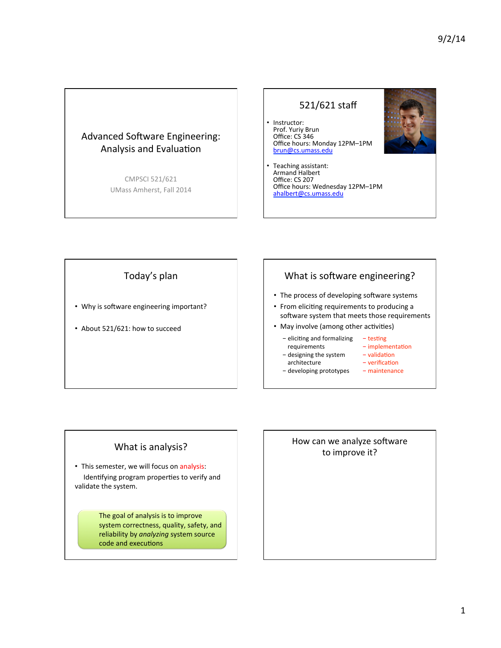#### Advanced Software Engineering: Analysis and Evaluation

CMPSCI 521/621 UMass Amherst, Fall 2014

#### 521/621 staff

• Instructor: Prof. Yuriy Brun Office: CS 346 Office hours: Monday 12PM-1PM brun@cs.umass.edu



Teaching assistant:<br>Armand Halbert Office: CS 207 Office hours: Wednesday 12PM-1PM ahalbert@cs.umass.edu 

## Today's plan

- Why is software engineering important?
- About 521/621: how to succeed

#### What is software engineering?

- The process of developing software systems
- From eliciting requirements to producing a software system that meets those requirements
- May involve (among other activities)
	- eliciting and formalizing  $-$  testing
		- requirements  $-$  implementation
	- designing the system architecture
- $-$  validation  $-$  verification
- developing prototypes
- maintenance

# What is analysis?

• This semester, we will focus on analysis: Identifying program properties to verify and validate the system.

> The goal of analysis is to improve system correctness, quality, safety, and reliability by *analyzing* system source code and executions

# How can we analyze software to improve it?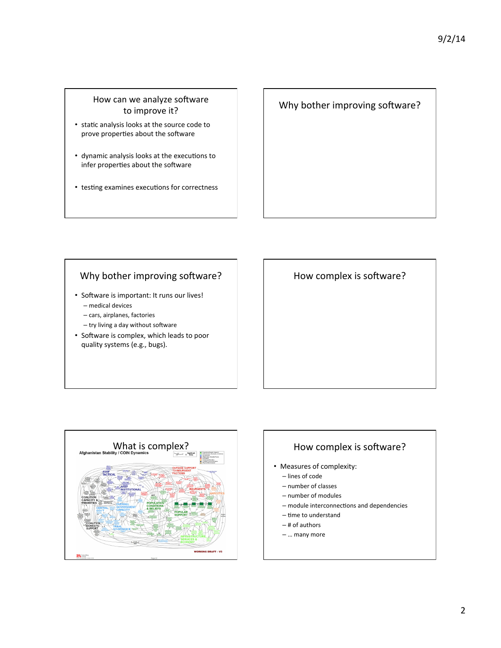#### How can we analyze software to improve it?

- static analysis looks at the source code to prove properties about the software
- dynamic analysis looks at the executions to infer properties about the software
- testing examines executions for correctness

#### Why bother improving software?

#### Why bother improving software?

- Software is important: It runs our lives! – medical devices
	- cars, airplanes, factories
	- try living a day without software
- Software is complex, which leads to poor quality systems (e.g., bugs).

How complex is software?



# Measures of complexity: – lines of code – number of classes - number of modules – module interconnections and dependencies – time to understand  $-$  # of authors

– … many more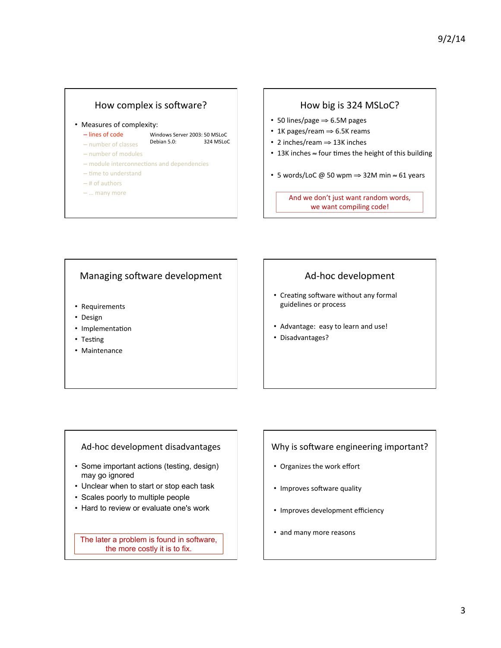# How complex is software?

• Measures of complexity:

– lines of code Windows Server 2003: 50 MSLoC

– number of classes Debian 5.0: 324 MSLoC

- number of modules
- module interconnections and dependencies
- $-$  time to understand
- $-$  # of authors
- … many more

#### How big is 324 MSLoC?

- 50 lines/page ⇒ 6.5M pages
- 1K pages/ream ⇒ 6.5K reams
- 2 inches/ream ⇒ 13K inches
- 13K inches ≈ four times the height of this building
- 5 words/LoC @ 50 wpm  $\Rightarrow$  32M min  $\approx$  61 years

And we don't just want random words, we want compiling code!

#### Managing software development

- Requirements
- Design
- Implementation
- Testing
- Maintenance

#### Ad-hoc development

- Creating software without any formal guidelines or process
- Advantage: easy to learn and use!
- Disadvantages?

#### Ad-hoc development disadvantages

- Some important actions (testing, design) may go ignored
- Unclear when to start or stop each task
- Scales poorly to multiple people
- Hard to review or evaluate one's work

The later a problem is found in software, the more costly it is to fix.

#### Why is software engineering important?

- Organizes the work effort
- Improves software quality
- Improves development efficiency
- and many more reasons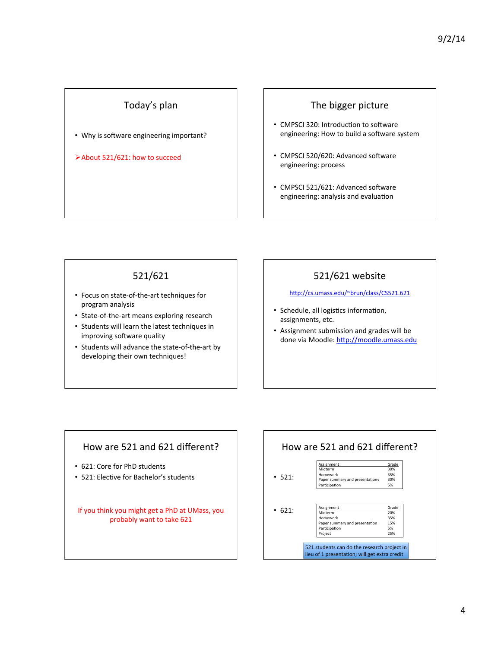## Today's plan

• Why is software engineering important?

ØAbout 521/621: how to succeed 

#### The bigger picture

- CMPSCI 320: Introduction to software engineering: How to build a software system
- CMPSCI 520/620: Advanced software engineering: process
- CMPSCI 521/621: Advanced software engineering: analysis and evaluation

#### 521/621

- Focus on state-of-the-art techniques for program analysis
- State-of-the-art means exploring research
- Students will learn the latest techniques in improving software quality
- Students will advance the state-of-the-art by developing their own techniques!

## 521/621 website

http://cs.umass.edu/~brun/class/CS521.621

- Schedule, all logistics information, assignments, etc.
- Assignment submission and grades will be done via Moodle: http://moodle.umass.edu

## How are 521 and 621 different?

- 621: Core for PhD students
- 521: Elective for Bachelor's students

If you think you might get a PhD at UMass, you probably want to take 621